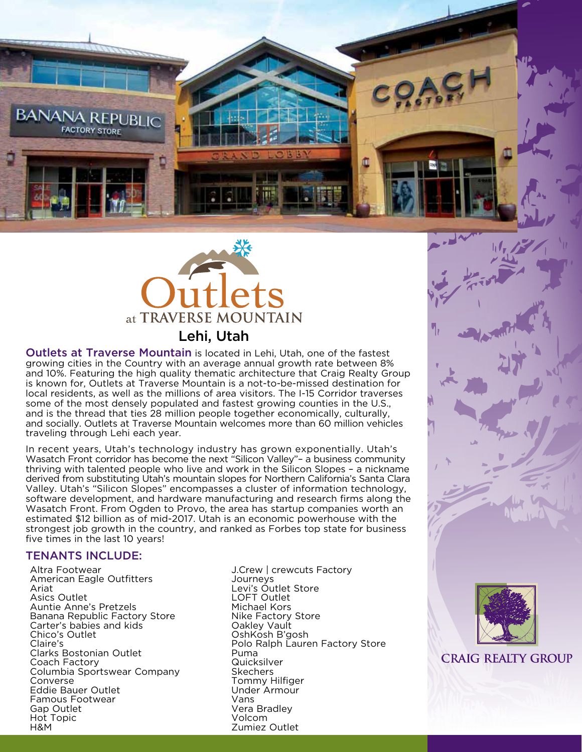



Outlets at Traverse Mountain is located in Lehi, Utah, one of the fastest growing cities in the Country with an average annual growth rate between 8% and 10%. Featuring the high quality thematic architecture that Craig Realty Group is known for, Outlets at Traverse Mountain is a not-to-be-missed destination for local residents, as well as the millions of area visitors. The I-15 Corridor traverses some of the most densely populated and fastest growing counties in the U.S., and is the thread that ties 28 million people together economically, culturally, and socially. Outlets at Traverse Mountain welcomes more than 60 million vehicles traveling through Lehi each year.

In recent years, Utah's technology industry has grown exponentially. Utah's Wasatch Front corridor has become the next "Silicon Valley"– a business community thriving with talented people who live and work in the Silicon Slopes – a nickname derived from substituting Utah's mountain slopes for Northern California's Santa Clara Valley. Utah's "Silicon Slopes" encompasses a cluster of information technology, software development, and hardware manufacturing and research firms along the Wasatch Front. From Ogden to Provo, the area has startup companies worth an estimated \$12 billion as of mid-2017. Utah is an economic powerhouse with the strongest job growth in the country, and ranked as Forbes top state for business five times in the last 10 years!

# TENANTS INCLUDE:

Altra Footwear American Eagle Outfitters Ariat Asics Outlet Auntie Anne's Pretzels Banana Republic Factory Store Carter's babies and kids Chico's Outlet Claire's Clarks Bostonian Outlet Coach Factory Columbia Sportswear Company Converse Eddie Bauer Outlet Famous Footwear Gap Outlet Hot Topic H&M

J.Crew | crewcuts Factory Journeys Levi's Outlet Store LOFT Outlet Michael Kors Nike Factory Store Oakley Vault OshKosh B'gosh Polo Ralph Lauren Factory Store Puma **Quicksilver Skechers** Tommy Hilfiger Under Armour Vans Vera Bradley Volcom Zumiez Outlet



**CRAIG REALTY GROUP**